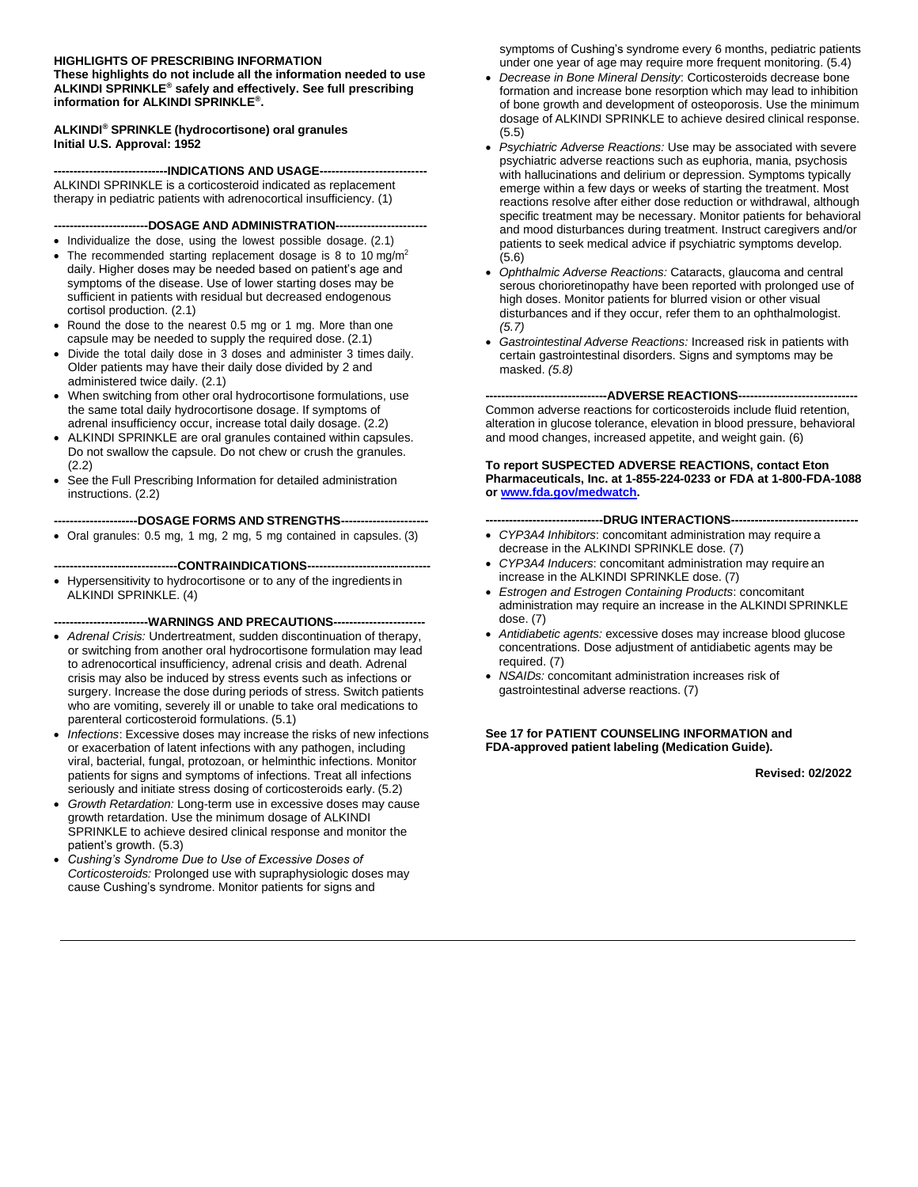#### **HIGHLIGHTS OF PRESCRIBING INFORMATION**

**These highlights do not include all the information needed to use ALKINDI SPRINKLE® safely and effectively. See full prescribing information for ALKINDI SPRINKLE® .**

#### **ALKINDI® SPRINKLE (hydrocortisone) oral granules Initial U.S. Approval: 1952**

**-----------------------------INDICATIONS AND USAGE---------------------------** ALKINDI SPRINKLE is a corticosteroid indicated as replacement therapy in pediatric patients with adrenocortical insufficiency. (1)

#### **------------------------DOSAGE AND ADMINISTRATION-----------------------**

- Individualize the dose, using the lowest possible dosage. (2.1)
- The recommended starting replacement dosage is 8 to 10 mg/m<sup>2</sup> daily. Higher doses may be needed based on patient's age and symptoms of the disease. Use of lower starting doses may be sufficient in patients with residual but decreased endogenous cortisol production. (2.1)
- Round the dose to the nearest 0.5 mg or 1 mg. More than one capsule may be needed to supply the required dose. (2.1)
- Divide the total daily dose in 3 doses and administer 3 times daily. Older patients may have their daily dose divided by 2 and administered twice daily. (2.1)
- When switching from other oral hydrocortisone formulations, use the same total daily hydrocortisone dosage. If symptoms of adrenal insufficiency occur, increase total daily dosage. (2.2)
- ALKINDI SPRINKLE are oral granules contained within capsules. Do not swallow the capsule. Do not chew or crush the granules. (2.2)
- See the Full Prescribing Information for detailed administration instructions. (2.2)

#### **---------------------DOSAGE FORMS AND STRENGTHS----------------------**

• Oral granules: 0.5 mg, 1 mg, 2 mg, 5 mg contained in capsules. (3)

#### **-------------------------------CONTRAINDICATIONS-------------------------------**

• Hypersensitivity to hydrocortisone or to any of the ingredients in ALKINDI SPRINKLE. (4)

#### **------------------------WARNINGS AND PRECAUTIONS-----------------------**

- *Adrenal Crisis:* Undertreatment, sudden discontinuation of therapy, or switching from another oral hydrocortisone formulation may lead to adrenocortical insufficiency, adrenal crisis and death. Adrenal crisis may also be induced by stress events such as infections or surgery. Increase the dose during periods of stress. Switch patients who are vomiting, severely ill or unable to take oral medications to parenteral corticosteroid formulations. (5.1)
- *Infections*: Excessive doses may increase the risks of new infections or exacerbation of latent infections with any pathogen, including viral, bacterial, fungal, protozoan, or helminthic infections. Monitor patients for signs and symptoms of infections. Treat all infections seriously and initiate stress dosing of corticosteroids early. (5.2)
- *Growth Retardation:* Long-term use in excessive doses may cause growth retardation. Use the minimum dosage of ALKINDI SPRINKLE to achieve desired clinical response and monitor the patient's growth. (5.3)
- *Cushing's Syndrome Due to Use of Excessive Doses of Corticosteroids:* Prolonged use with supraphysiologic doses may cause Cushing's syndrome. Monitor patients for signs and

symptoms of Cushing's syndrome every 6 months, pediatric patients under one year of age may require more frequent monitoring. (5.4)

- *Decrease in Bone Mineral Density*: Corticosteroids decrease bone formation and increase bone resorption which may lead to inhibition of bone growth and development of osteoporosis. Use the minimum dosage of ALKINDI SPRINKLE to achieve desired clinical response. (5.5)
- *Psychiatric Adverse Reactions:* Use may be associated with severe psychiatric adverse reactions such as euphoria, mania, psychosis with hallucinations and delirium or depression. Symptoms typically emerge within a few days or weeks of starting the treatment. Most reactions resolve after either dose reduction or withdrawal, although specific treatment may be necessary. Monitor patients for behavioral and mood disturbances during treatment. Instruct caregivers and/or patients to seek medical advice if psychiatric symptoms develop. (5.6)
- *Ophthalmic Adverse Reactions:* Cataracts, glaucoma and central serous chorioretinopathy have been reported with prolonged use of high doses. Monitor patients for blurred vision or other visual disturbances and if they occur, refer them to an ophthalmologist. *(5.7)*
- *Gastrointestinal Adverse Reactions:* Increased risk in patients with certain gastrointestinal disorders. Signs and symptoms may be masked. *(5.8)*

#### **-------------------------------ADVERSE REACTIONS------------------------------**

Common adverse reactions for corticosteroids include fluid retention, alteration in glucose tolerance, elevation in blood pressure, behavioral and mood changes, increased appetite, and weight gain. (6)

#### **To report SUSPECTED ADVERSE REACTIONS, contact Eton Pharmaceuticals, Inc. at 1-855-224-0233 or FDA at 1-800-FDA-1088 or [www.fda.gov/medwatch.](http://www.fda.gov/medwatch)**

#### **------------------------------DRUG INTERACTIONS--------------------------------**

- *CYP3A4 Inhibitors*: concomitant administration may require a decrease in the ALKINDI SPRINKLE dose. (7)
- *CYP3A4 Inducers*: concomitant administration may require an increase in the ALKINDI SPRINKLE dose. (7)
- *Estrogen and Estrogen Containing Products*: concomitant administration may require an increase in the ALKINDI SPRINKLE dose. (7)
- *Antidiabetic agents:* excessive doses may increase blood glucose concentrations. Dose adjustment of antidiabetic agents may be required. (7)
- *NSAIDs:* concomitant administration increases risk of gastrointestinal adverse reactions. (7)

#### **See 17 for PATIENT COUNSELING INFORMATION and FDA-approved patient labeling (Medication Guide).**

**Revised: 02/2022**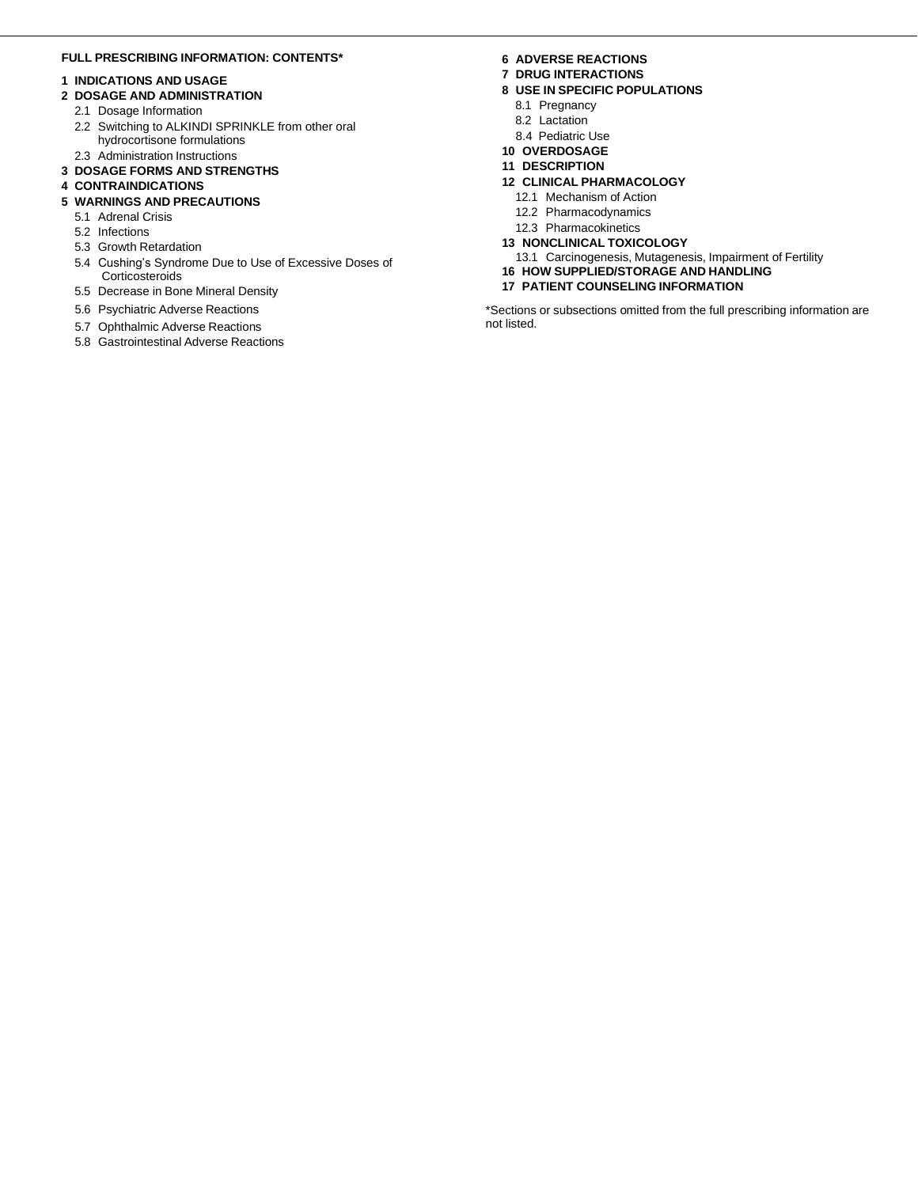#### **FULL PRESCRIBING INFORMATION: CONTENTS\***

#### **1 INDICATIONS AND USAGE**

- **2 DOSAGE AND ADMINISTRATION**
	- 2.1 Dosage Information
	- 2.2 Switching to ALKINDI SPRINKLE from other oral hydrocortisone formulations 2.3 Administration Instructions
- **3 DOSAGE FORMS AND STRENGTHS**

#### **4 CONTRAINDICATIONS**

#### **5 WARNINGS AND PRECAUTIONS**

- 5.1 Adrenal Crisis
- 5.2 Infections
- 5.3 Growth Retardation
- 5.4 Cushing's Syndrome Due to Use of Excessive Doses of **Corticosteroids**
- 5.5 Decrease in Bone Mineral Density
- 5.6 Psychiatric Adverse Reactions
- 5.7 Ophthalmic Adverse Reactions
- 5.8 Gastrointestinal Adverse Reactions

#### **6 ADVERSE REACTIONS**

- **7 DRUG INTERACTIONS**
- **8 USE IN SPECIFIC POPULATIONS**
	- 8.1 Pregnancy
	- 8.2 Lactation
	- 8.4 Pediatric Use
- **10 OVERDOSAGE**
- **11 DESCRIPTION**
- **12 CLINICAL PHARMACOLOGY**
	- 12.1 Mechanism of Action
	- 12.2 Pharmacodynamics
	- 12.3 Pharmacokinetics
- **13 NONCLINICAL TOXICOLOGY**
- 13.1 Carcinogenesis, Mutagenesis, Impairment of Fertility **16 HOW SUPPLIED/STORAGE AND HANDLING**
- **17 PATIENT COUNSELING INFORMATION**

\*Sections or subsections omitted from the full prescribing information are not listed.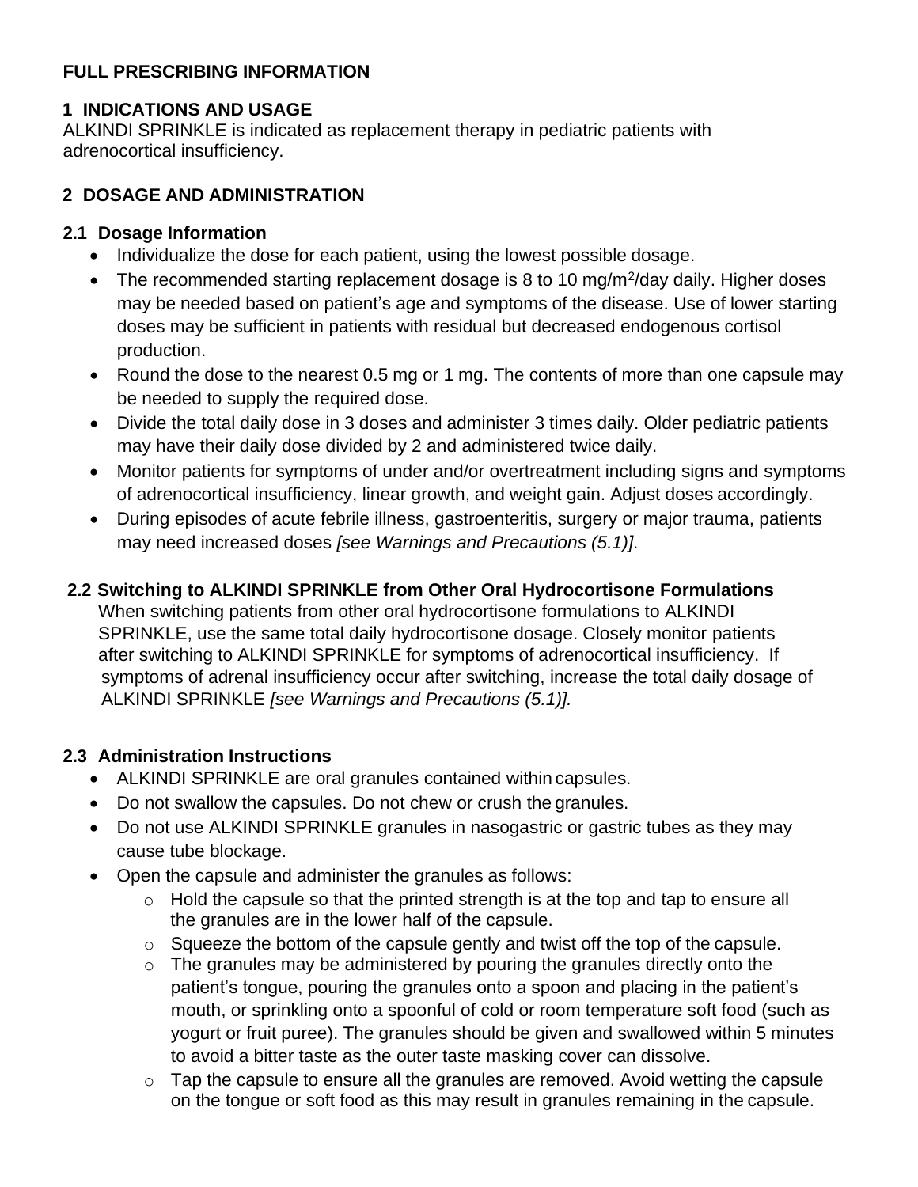# **FULL PRESCRIBING INFORMATION**

# **1 INDICATIONS AND USAGE**

ALKINDI SPRINKLE is indicated as replacement therapy in pediatric patients with adrenocortical insufficiency.

# **2 DOSAGE AND ADMINISTRATION**

### **2.1 Dosage Information**

- Individualize the dose for each patient, using the lowest possible dosage.
- The recommended starting replacement dosage is 8 to 10 mg/m<sup>2</sup>/day daily. Higher doses may be needed based on patient's age and symptoms of the disease. Use of lower starting doses may be sufficient in patients with residual but decreased endogenous cortisol production.
- Round the dose to the nearest 0.5 mg or 1 mg. The contents of more than one capsule may be needed to supply the required dose.
- Divide the total daily dose in 3 doses and administer 3 times daily. Older pediatric patients may have their daily dose divided by 2 and administered twice daily.
- Monitor patients for symptoms of under and/or overtreatment including signs and symptoms of adrenocortical insufficiency, linear growth, and weight gain. Adjust doses accordingly.
- During episodes of acute febrile illness, gastroenteritis, surgery or major trauma, patients may need increased doses *[see Warnings and Precautions (5.1)]*.

# **2.2 Switching to ALKINDI SPRINKLE from Other Oral Hydrocortisone Formulations**

When switching patients from other oral hydrocortisone formulations to ALKINDI SPRINKLE, use the same total daily hydrocortisone dosage. Closely monitor patients after switching to ALKINDI SPRINKLE for symptoms of adrenocortical insufficiency. If symptoms of adrenal insufficiency occur after switching, increase the total daily dosage of ALKINDI SPRINKLE *[see Warnings and Precautions (5.1)].*

# **2.3 Administration Instructions**

- ALKINDI SPRINKLE are oral granules contained within capsules.
- Do not swallow the capsules. Do not chew or crush the granules.
- Do not use ALKINDI SPRINKLE granules in nasogastric or gastric tubes as they may cause tube blockage.
- Open the capsule and administer the granules as follows:
	- $\circ$  Hold the capsule so that the printed strength is at the top and tap to ensure all the granules are in the lower half of the capsule.
	- o Squeeze the bottom of the capsule gently and twist off the top of the capsule.
	- o The granules may be administered by pouring the granules directly onto the patient's tongue, pouring the granules onto a spoon and placing in the patient's mouth, or sprinkling onto a spoonful of cold or room temperature soft food (such as yogurt or fruit puree). The granules should be given and swallowed within 5 minutes to avoid a bitter taste as the outer taste masking cover can dissolve.
	- $\circ$  Tap the capsule to ensure all the granules are removed. Avoid wetting the capsule on the tongue or soft food as this may result in granules remaining in the capsule.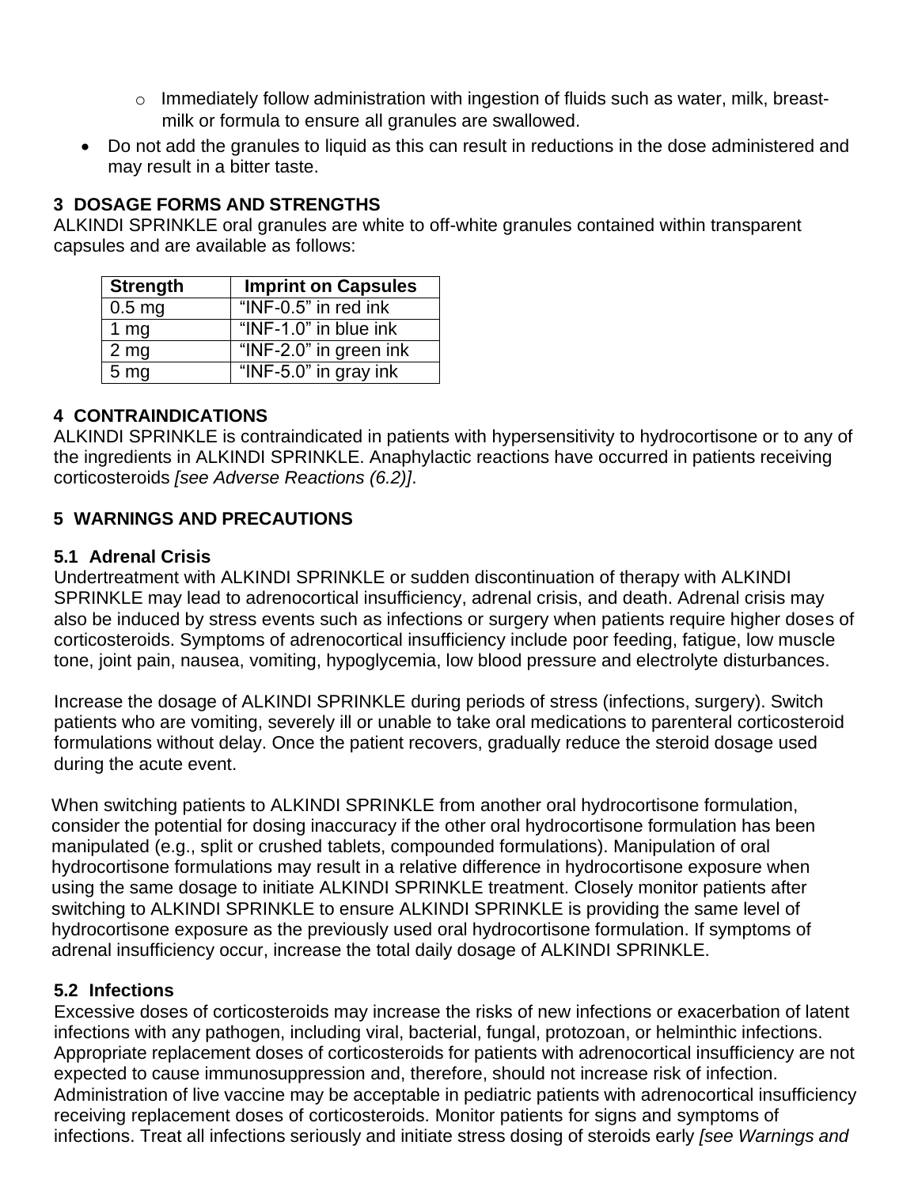- o Immediately follow administration with ingestion of fluids such as water, milk, breastmilk or formula to ensure all granules are swallowed.
- Do not add the granules to liquid as this can result in reductions in the dose administered and may result in a bitter taste.

### **3 DOSAGE FORMS AND STRENGTHS**

ALKINDI SPRINKLE oral granules are white to off-white granules contained within transparent capsules and are available as follows:

| <b>Strength</b>   | <b>Imprint on Capsules</b> |
|-------------------|----------------------------|
| 0.5 <sub>mg</sub> | "INF-0.5" in red ink       |
| 1 $mg$            | " $INF-1.0$ " in blue ink  |
| 2 <sub>mg</sub>   | "INF-2.0" in green ink     |
| 5 <sub>mg</sub>   | "INF-5.0" in gray ink      |

#### **4 CONTRAINDICATIONS**

ALKINDI SPRINKLE is contraindicated in patients with hypersensitivity to hydrocortisone or to any of the ingredients in ALKINDI SPRINKLE. Anaphylactic reactions have occurred in patients receiving corticosteroids *[see Adverse Reactions (6.2)]*.

### **5 WARNINGS AND PRECAUTIONS**

#### **5.1 Adrenal Crisis**

Undertreatment with ALKINDI SPRINKLE or sudden discontinuation of therapy with ALKINDI SPRINKLE may lead to adrenocortical insufficiency, adrenal crisis, and death. Adrenal crisis may also be induced by stress events such as infections or surgery when patients require higher doses of corticosteroids. Symptoms of adrenocortical insufficiency include poor feeding, fatigue, low muscle tone, joint pain, nausea, vomiting, hypoglycemia, low blood pressure and electrolyte disturbances.

Increase the dosage of ALKINDI SPRINKLE during periods of stress (infections, surgery). Switch patients who are vomiting, severely ill or unable to take oral medications to parenteral corticosteroid formulations without delay. Once the patient recovers, gradually reduce the steroid dosage used during the acute event.

When switching patients to ALKINDI SPRINKLE from another oral hydrocortisone formulation, consider the potential for dosing inaccuracy if the other oral hydrocortisone formulation has been manipulated (e.g., split or crushed tablets, compounded formulations). Manipulation of oral hydrocortisone formulations may result in a relative difference in hydrocortisone exposure when using the same dosage to initiate ALKINDI SPRINKLE treatment. Closely monitor patients after switching to ALKINDI SPRINKLE to ensure ALKINDI SPRINKLE is providing the same level of hydrocortisone exposure as the previously used oral hydrocortisone formulation. If symptoms of adrenal insufficiency occur, increase the total daily dosage of ALKINDI SPRINKLE.

#### **5.2 Infections**

Excessive doses of corticosteroids may increase the risks of new infections or exacerbation of latent infections with any pathogen, including viral, bacterial, fungal, protozoan, or helminthic infections. Appropriate replacement doses of corticosteroids for patients with adrenocortical insufficiency are not expected to cause immunosuppression and, therefore, should not increase risk of infection. Administration of live vaccine may be acceptable in pediatric patients with adrenocortical insufficiency receiving replacement doses of corticosteroids. Monitor patients for signs and symptoms of infections. Treat all infections seriously and initiate stress dosing of steroids early *[see Warnings and*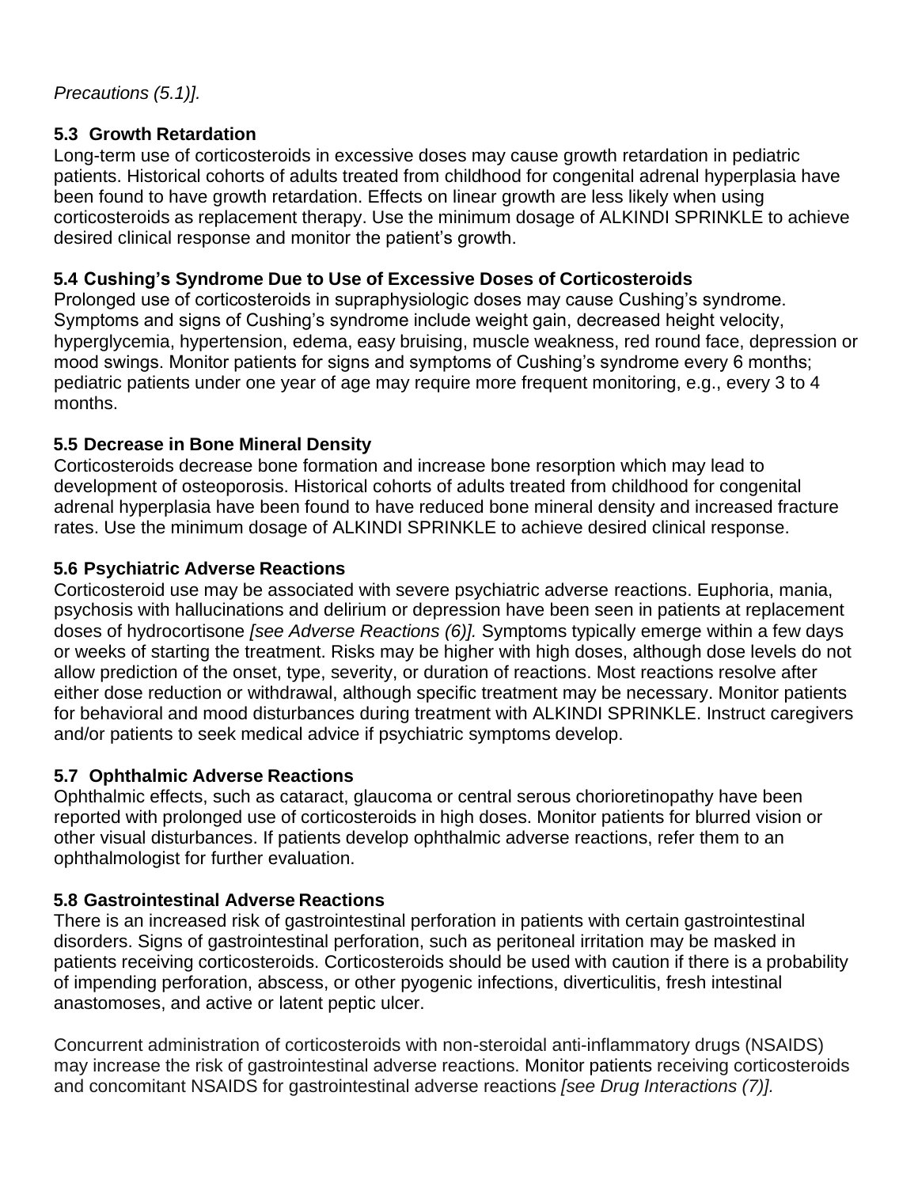# **5.3 Growth Retardation**

Long-term use of corticosteroids in excessive doses may cause growth retardation in pediatric patients. Historical cohorts of adults treated from childhood for congenital adrenal hyperplasia have been found to have growth retardation. Effects on linear growth are less likely when using corticosteroids as replacement therapy. Use the minimum dosage of ALKINDI SPRINKLE to achieve desired clinical response and monitor the patient's growth.

# **5.4 Cushing's Syndrome Due to Use of Excessive Doses of Corticosteroids**

Prolonged use of corticosteroids in supraphysiologic doses may cause Cushing's syndrome. Symptoms and signs of Cushing's syndrome include weight gain, decreased height velocity, hyperglycemia, hypertension, edema, easy bruising, muscle weakness, red round face, depression or mood swings. Monitor patients for signs and symptoms of Cushing's syndrome every 6 months; pediatric patients under one year of age may require more frequent monitoring, e.g., every 3 to 4 months.

# **5.5 Decrease in Bone Mineral Density**

Corticosteroids decrease bone formation and increase bone resorption which may lead to development of osteoporosis. Historical cohorts of adults treated from childhood for congenital adrenal hyperplasia have been found to have reduced bone mineral density and increased fracture rates. Use the minimum dosage of ALKINDI SPRINKLE to achieve desired clinical response.

# **5.6 Psychiatric Adverse Reactions**

Corticosteroid use may be associated with severe psychiatric adverse reactions. Euphoria, mania, psychosis with hallucinations and delirium or depression have been seen in patients at replacement doses of hydrocortisone *[see Adverse Reactions (6)].* Symptoms typically emerge within a few days or weeks of starting the treatment. Risks may be higher with high doses, although dose levels do not allow prediction of the onset, type, severity, or duration of reactions. Most reactions resolve after either dose reduction or withdrawal, although specific treatment may be necessary. Monitor patients for behavioral and mood disturbances during treatment with ALKINDI SPRINKLE. Instruct caregivers and/or patients to seek medical advice if psychiatric symptoms develop.

# **5.7 Ophthalmic Adverse Reactions**

Ophthalmic effects, such as cataract, glaucoma or central serous chorioretinopathy have been reported with prolonged use of corticosteroids in high doses. Monitor patients for blurred vision or other visual disturbances. If patients develop ophthalmic adverse reactions, refer them to an ophthalmologist for further evaluation.

# **5.8 Gastrointestinal Adverse Reactions**

There is an increased risk of gastrointestinal perforation in patients with certain gastrointestinal disorders. Signs of gastrointestinal perforation, such as peritoneal irritation may be masked in patients receiving corticosteroids. Corticosteroids should be used with caution if there is a probability of impending perforation, abscess, or other pyogenic infections, diverticulitis, fresh intestinal anastomoses, and active or latent peptic ulcer.

Concurrent administration of corticosteroids with non-steroidal anti-inflammatory drugs (NSAIDS) may increase the risk of gastrointestinal adverse reactions. Monitor patients receiving corticosteroids and concomitant NSAIDS for gastrointestinal adverse reactions *[see Drug Interactions (7)].*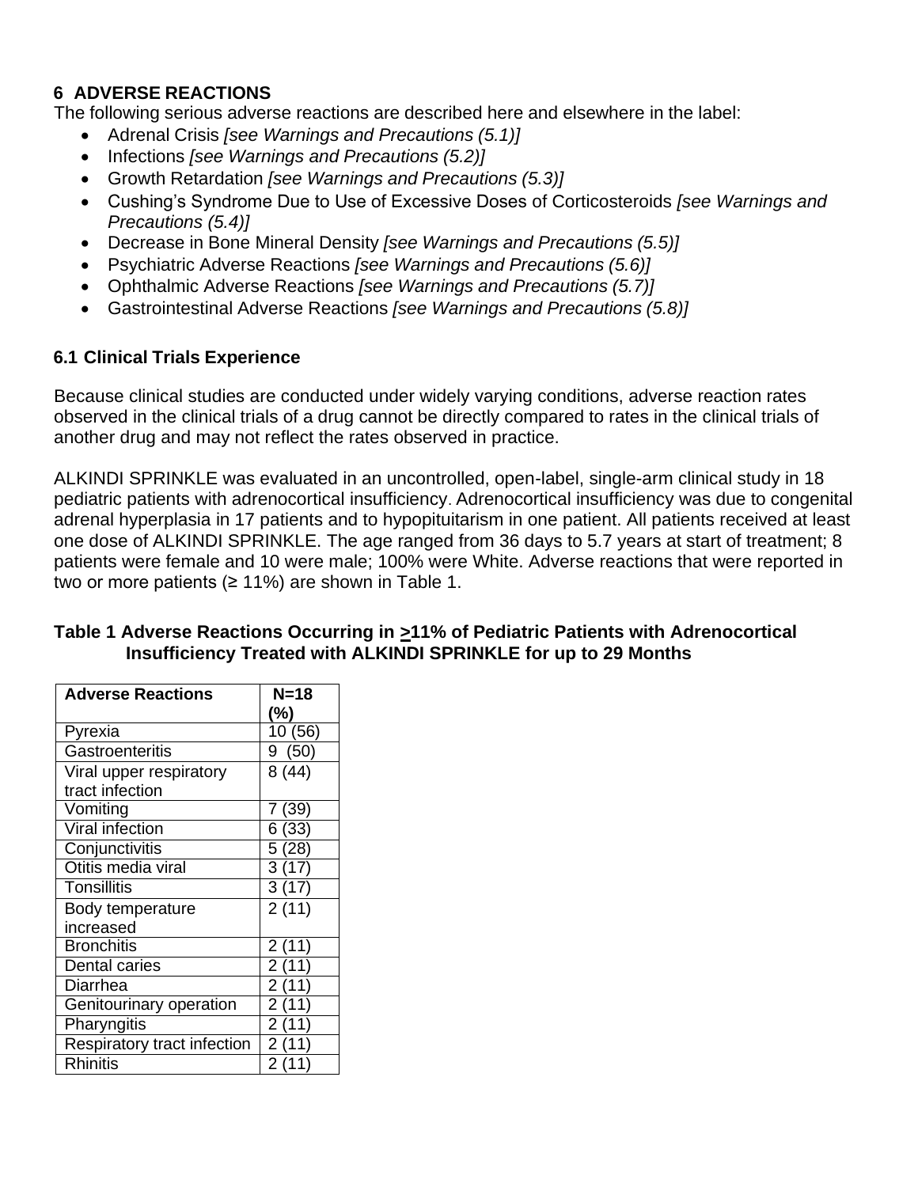# **6 ADVERSE REACTIONS**

The following serious adverse reactions are described here and elsewhere in the label:

- Adrenal Crisis *[see Warnings and Precautions (5.1)]*
- Infections *[see Warnings and Precautions (5.2)]*
- Growth Retardation *[see Warnings and Precautions (5.3)]*
- Cushing's Syndrome Due to Use of Excessive Doses of Corticosteroids *[see Warnings and Precautions (5.4)]*
- Decrease in Bone Mineral Density *[see Warnings and Precautions (5.5)]*
- Psychiatric Adverse Reactions *[see Warnings and Precautions (5.6)]*
- Ophthalmic Adverse Reactions *[see Warnings and Precautions (5.7)]*
- Gastrointestinal Adverse Reactions *[see Warnings and Precautions (5.8)]*

# **6.1 Clinical Trials Experience**

Because clinical studies are conducted under widely varying conditions, adverse reaction rates observed in the clinical trials of a drug cannot be directly compared to rates in the clinical trials of another drug and may not reflect the rates observed in practice.

ALKINDI SPRINKLE was evaluated in an uncontrolled, open-label, single-arm clinical study in 18 pediatric patients with adrenocortical insufficiency. Adrenocortical insufficiency was due to congenital adrenal hyperplasia in 17 patients and to hypopituitarism in one patient. All patients received at least one dose of ALKINDI SPRINKLE. The age ranged from 36 days to 5.7 years at start of treatment; 8 patients were female and 10 were male; 100% were White. Adverse reactions that were reported in two or more patients ( $\geq 11\%$ ) are shown in Table 1.

| <b>Adverse Reactions</b>           | $N=18$ |
|------------------------------------|--------|
|                                    | (%)    |
| Pyrexia                            | 10(56) |
| Gastroenteritis                    | 9(50)  |
| Viral upper respiratory            | 8(44)  |
| tract infection                    |        |
| Vomiting                           | 7 (39) |
| <b>Viral infection</b>             | 6 (33) |
| Conjunctivitis                     | 5(28)  |
| Otitis media viral                 | 3(17)  |
| <b>Tonsillitis</b>                 | 3(17)  |
| Body temperature                   | 2(11)  |
| increased                          |        |
| <b>Bronchitis</b>                  | 2(11)  |
| Dental caries                      | 2(11)  |
| Diarrhea                           | 2(11)  |
| Genitourinary operation            | 2(11)  |
| Pharyngitis                        | 2(11)  |
| <b>Respiratory tract infection</b> | 2(11)  |
| <b>Rhinitis</b>                    | 2 (11) |

#### **Table 1 Adverse Reactions Occurring in >11% of Pediatric Patients with Adrenocortical Insufficiency Treated with ALKINDI SPRINKLE for up to 29 Months**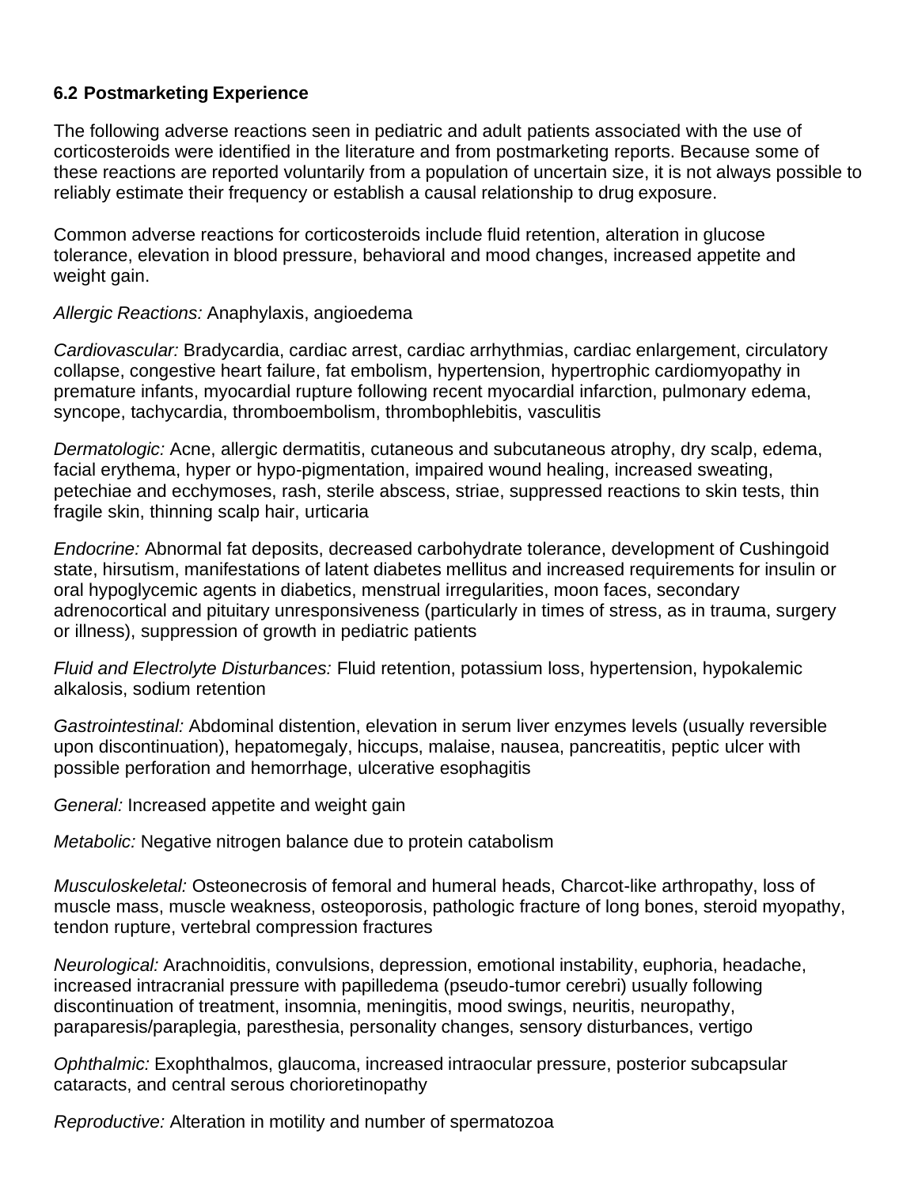### **6.2 Postmarketing Experience**

The following adverse reactions seen in pediatric and adult patients associated with the use of corticosteroids were identified in the literature and from postmarketing reports. Because some of these reactions are reported voluntarily from a population of uncertain size, it is not always possible to reliably estimate their frequency or establish a causal relationship to drug exposure.

Common adverse reactions for corticosteroids include fluid retention, alteration in glucose tolerance, elevation in blood pressure, behavioral and mood changes, increased appetite and weight gain.

#### *Allergic Reactions:* Anaphylaxis, angioedema

*Cardiovascular:* Bradycardia, cardiac arrest, cardiac arrhythmias, cardiac enlargement, circulatory collapse, congestive heart failure, fat embolism, hypertension, hypertrophic cardiomyopathy in premature infants, myocardial rupture following recent myocardial infarction, pulmonary edema, syncope, tachycardia, thromboembolism, thrombophlebitis, vasculitis

*Dermatologic:* Acne, allergic dermatitis, cutaneous and subcutaneous atrophy, dry scalp, edema, facial erythema, hyper or hypo-pigmentation, impaired wound healing, increased sweating, petechiae and ecchymoses, rash, sterile abscess, striae, suppressed reactions to skin tests, thin fragile skin, thinning scalp hair, urticaria

*Endocrine:* Abnormal fat deposits, decreased carbohydrate tolerance, development of Cushingoid state, hirsutism, manifestations of latent diabetes mellitus and increased requirements for insulin or oral hypoglycemic agents in diabetics, menstrual irregularities, moon faces, secondary adrenocortical and pituitary unresponsiveness (particularly in times of stress, as in trauma, surgery or illness), suppression of growth in pediatric patients

*Fluid and Electrolyte Disturbances:* Fluid retention, potassium loss, hypertension, hypokalemic alkalosis, sodium retention

*Gastrointestinal:* Abdominal distention, elevation in serum liver enzymes levels (usually reversible upon discontinuation), hepatomegaly, hiccups, malaise, nausea, pancreatitis, peptic ulcer with possible perforation and hemorrhage, ulcerative esophagitis

*General:* Increased appetite and weight gain

*Metabolic:* Negative nitrogen balance due to protein catabolism

*Musculoskeletal:* Osteonecrosis of femoral and humeral heads, Charcot-like arthropathy, loss of muscle mass, muscle weakness, osteoporosis, pathologic fracture of long bones, steroid myopathy, tendon rupture, vertebral compression fractures

*Neurological:* Arachnoiditis, convulsions, depression, emotional instability, euphoria, headache, increased intracranial pressure with papilledema (pseudo-tumor cerebri) usually following discontinuation of treatment, insomnia, meningitis, mood swings, neuritis, neuropathy, paraparesis/paraplegia, paresthesia, personality changes, sensory disturbances, vertigo

*Ophthalmic:* Exophthalmos, glaucoma, increased intraocular pressure, posterior subcapsular cataracts, and central serous chorioretinopathy

*Reproductive:* Alteration in motility and number of spermatozoa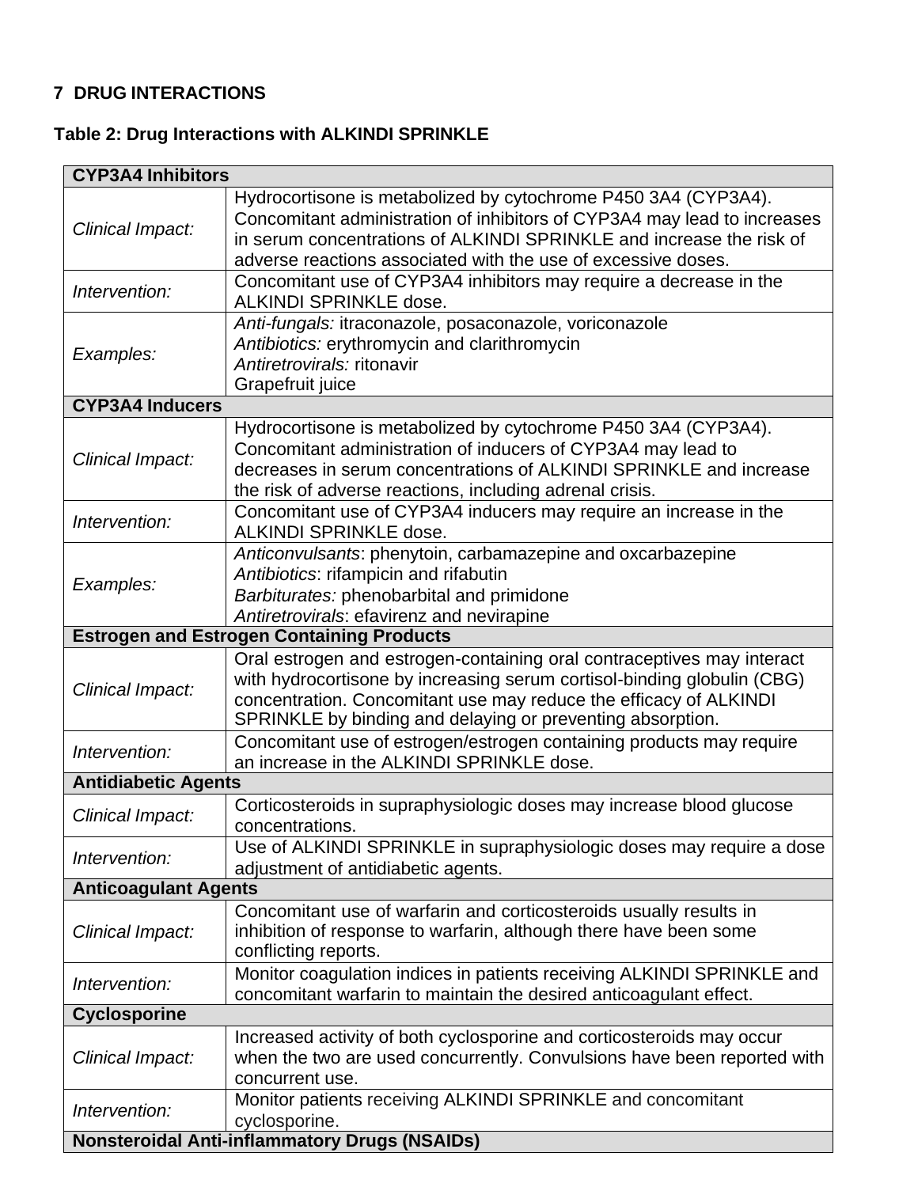# **7 DRUG INTERACTIONS**

# **Table 2: Drug Interactions with ALKINDI SPRINKLE**

| <b>CYP3A4 Inhibitors</b>    |                                                                                                                                                                                                                                                                                      |  |  |  |  |
|-----------------------------|--------------------------------------------------------------------------------------------------------------------------------------------------------------------------------------------------------------------------------------------------------------------------------------|--|--|--|--|
| Clinical Impact:            | Hydrocortisone is metabolized by cytochrome P450 3A4 (CYP3A4).<br>Concomitant administration of inhibitors of CYP3A4 may lead to increases<br>in serum concentrations of ALKINDI SPRINKLE and increase the risk of<br>adverse reactions associated with the use of excessive doses.  |  |  |  |  |
| Intervention:               | Concomitant use of CYP3A4 inhibitors may require a decrease in the<br><b>ALKINDI SPRINKLE dose.</b>                                                                                                                                                                                  |  |  |  |  |
| Examples:                   | Anti-fungals: itraconazole, posaconazole, voriconazole<br>Antibiotics: erythromycin and clarithromycin<br>Antiretrovirals: ritonavir<br>Grapefruit juice                                                                                                                             |  |  |  |  |
| <b>CYP3A4 Inducers</b>      |                                                                                                                                                                                                                                                                                      |  |  |  |  |
| Clinical Impact:            | Hydrocortisone is metabolized by cytochrome P450 3A4 (CYP3A4).<br>Concomitant administration of inducers of CYP3A4 may lead to<br>decreases in serum concentrations of ALKINDI SPRINKLE and increase<br>the risk of adverse reactions, including adrenal crisis.                     |  |  |  |  |
| Intervention:               | Concomitant use of CYP3A4 inducers may require an increase in the<br><b>ALKINDI SPRINKLE dose.</b>                                                                                                                                                                                   |  |  |  |  |
| Examples:                   | Anticonvulsants: phenytoin, carbamazepine and oxcarbazepine<br>Antibiotics: rifampicin and rifabutin<br>Barbiturates: phenobarbital and primidone<br>Antiretrovirals: efavirenz and nevirapine                                                                                       |  |  |  |  |
|                             | <b>Estrogen and Estrogen Containing Products</b>                                                                                                                                                                                                                                     |  |  |  |  |
| Clinical Impact:            | Oral estrogen and estrogen-containing oral contraceptives may interact<br>with hydrocortisone by increasing serum cortisol-binding globulin (CBG)<br>concentration. Concomitant use may reduce the efficacy of ALKINDI<br>SPRINKLE by binding and delaying or preventing absorption. |  |  |  |  |
| Intervention:               | Concomitant use of estrogen/estrogen containing products may require<br>an increase in the ALKINDI SPRINKLE dose.                                                                                                                                                                    |  |  |  |  |
| <b>Antidiabetic Agents</b>  |                                                                                                                                                                                                                                                                                      |  |  |  |  |
| Clinical Impact:            | Corticosteroids in supraphysiologic doses may increase blood glucose<br>concentrations.                                                                                                                                                                                              |  |  |  |  |
| Intervention:               | Use of ALKINDI SPRINKLE in supraphysiologic doses may require a dose<br>adjustment of antidiabetic agents.                                                                                                                                                                           |  |  |  |  |
| <b>Anticoagulant Agents</b> |                                                                                                                                                                                                                                                                                      |  |  |  |  |
| Clinical Impact:            | Concomitant use of warfarin and corticosteroids usually results in<br>inhibition of response to warfarin, although there have been some<br>conflicting reports.                                                                                                                      |  |  |  |  |
| Intervention:               | Monitor coagulation indices in patients receiving ALKINDI SPRINKLE and<br>concomitant warfarin to maintain the desired anticoagulant effect.                                                                                                                                         |  |  |  |  |
| <b>Cyclosporine</b>         |                                                                                                                                                                                                                                                                                      |  |  |  |  |
| Clinical Impact:            | Increased activity of both cyclosporine and corticosteroids may occur<br>when the two are used concurrently. Convulsions have been reported with<br>concurrent use.                                                                                                                  |  |  |  |  |
| Intervention:               | Monitor patients receiving ALKINDI SPRINKLE and concomitant<br>cyclosporine.                                                                                                                                                                                                         |  |  |  |  |
|                             | <b>Nonsteroidal Anti-inflammatory Drugs (NSAIDs)</b>                                                                                                                                                                                                                                 |  |  |  |  |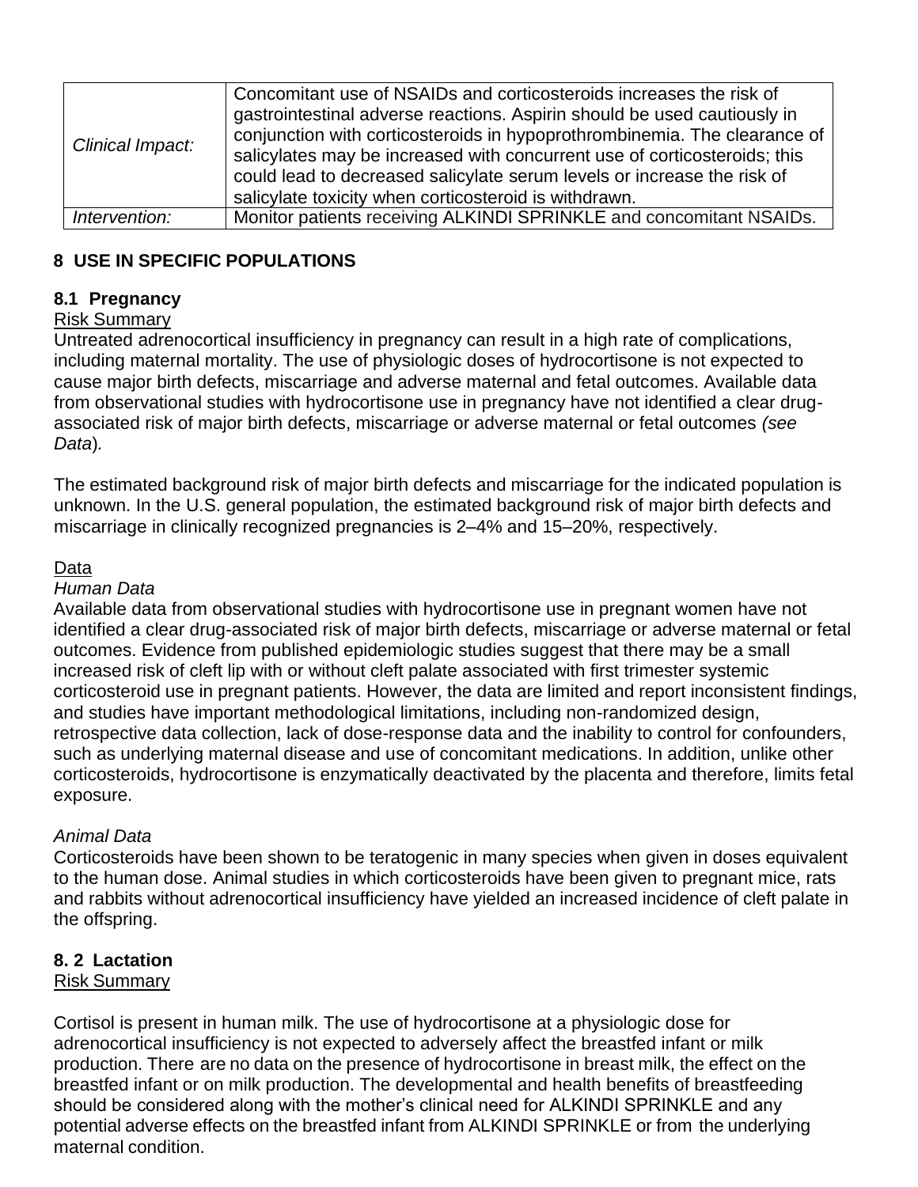| Clinical Impact: | Concomitant use of NSAIDs and corticosteroids increases the risk of<br>gastrointestinal adverse reactions. Aspirin should be used cautiously in<br>conjunction with corticosteroids in hypoprothrombinemia. The clearance of<br>salicylates may be increased with concurrent use of corticosteroids; this<br>could lead to decreased salicylate serum levels or increase the risk of<br>salicylate toxicity when corticosteroid is withdrawn. |
|------------------|-----------------------------------------------------------------------------------------------------------------------------------------------------------------------------------------------------------------------------------------------------------------------------------------------------------------------------------------------------------------------------------------------------------------------------------------------|
| Intervention:    | Monitor patients receiving ALKINDI SPRINKLE and concomitant NSAIDs.                                                                                                                                                                                                                                                                                                                                                                           |

# **8 USE IN SPECIFIC POPULATIONS**

### **8.1 Pregnancy**

### Risk Summary

Untreated adrenocortical insufficiency in pregnancy can result in a high rate of complications, including maternal mortality. The use of physiologic doses of hydrocortisone is not expected to cause major birth defects, miscarriage and adverse maternal and fetal outcomes. Available data from observational studies with hydrocortisone use in pregnancy have not identified a clear drugassociated risk of major birth defects, miscarriage or adverse maternal or fetal outcomes *(see Data*)*.*

The estimated background risk of major birth defects and miscarriage for the indicated population is unknown. In the U.S. general population, the estimated background risk of major birth defects and miscarriage in clinically recognized pregnancies is 2–4% and 15–20%, respectively.

### Data

#### *Human Data*

Available data from observational studies with hydrocortisone use in pregnant women have not identified a clear drug-associated risk of major birth defects, miscarriage or adverse maternal or fetal outcomes. Evidence from published epidemiologic studies suggest that there may be a small increased risk of cleft lip with or without cleft palate associated with first trimester systemic corticosteroid use in pregnant patients. However, the data are limited and report inconsistent findings, and studies have important methodological limitations, including non-randomized design, retrospective data collection, lack of dose-response data and the inability to control for confounders, such as underlying maternal disease and use of concomitant medications. In addition, unlike other corticosteroids, hydrocortisone is enzymatically deactivated by the placenta and therefore, limits fetal exposure.

### *Animal Data*

Corticosteroids have been shown to be teratogenic in many species when given in doses equivalent to the human dose. Animal studies in which corticosteroids have been given to pregnant mice, rats and rabbits without adrenocortical insufficiency have yielded an increased incidence of cleft palate in the offspring.

### **8. 2 Lactation**

### Risk Summary

Cortisol is present in human milk. The use of hydrocortisone at a physiologic dose for adrenocortical insufficiency is not expected to adversely affect the breastfed infant or milk production. There are no data on the presence of hydrocortisone in breast milk, the effect on the breastfed infant or on milk production. The developmental and health benefits of breastfeeding should be considered along with the mother's clinical need for ALKINDI SPRINKLE and any potential adverse effects on the breastfed infant from ALKINDI SPRINKLE or from the underlying maternal condition.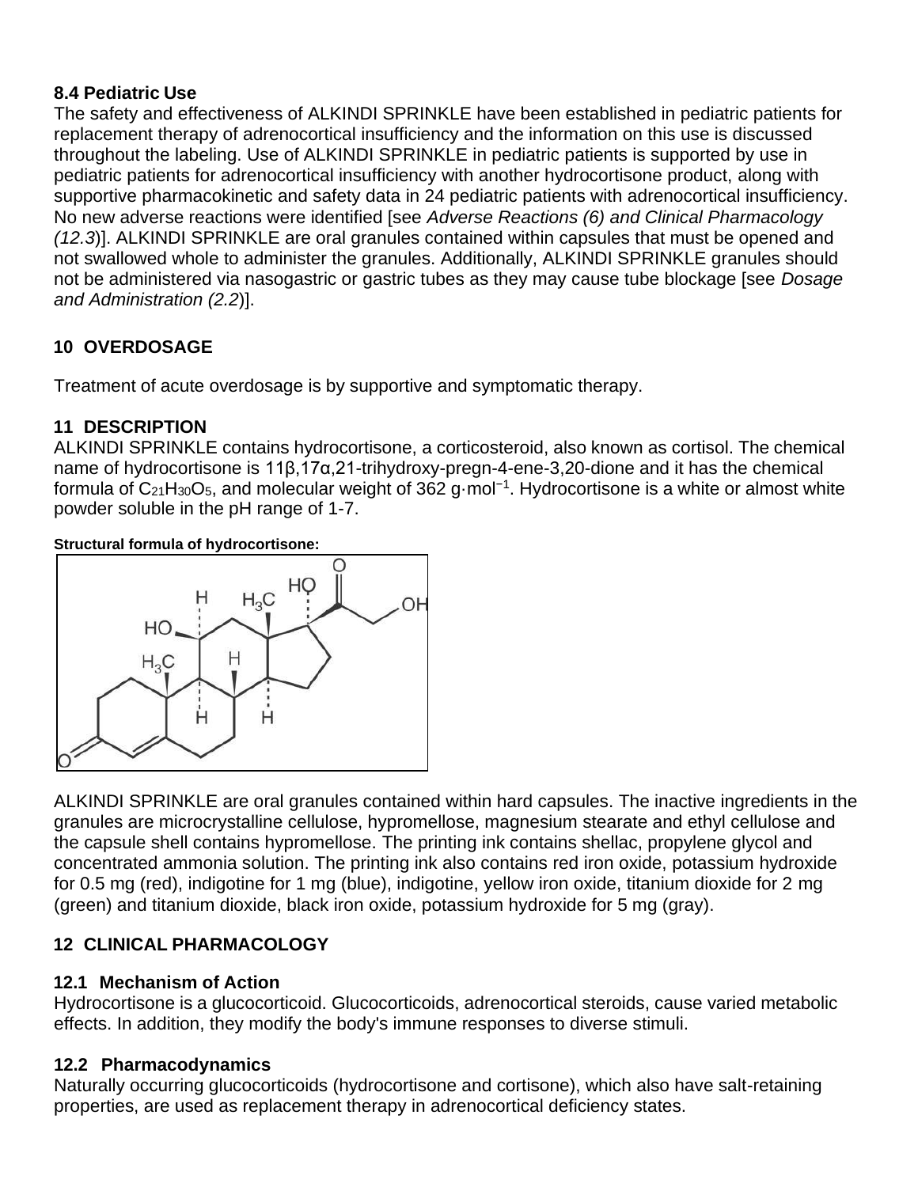### **8.4 Pediatric Use**

The safety and effectiveness of ALKINDI SPRINKLE have been established in pediatric patients for replacement therapy of adrenocortical insufficiency and the information on this use is discussed throughout the labeling. Use of ALKINDI SPRINKLE in pediatric patients is supported by use in pediatric patients for adrenocortical insufficiency with another hydrocortisone product, along with supportive pharmacokinetic and safety data in 24 pediatric patients with adrenocortical insufficiency. No new adverse reactions were identified [see *Adverse Reactions (6) and Clinical Pharmacology (12.3*)]. ALKINDI SPRINKLE are oral granules contained within capsules that must be opened and not swallowed whole to administer the granules. Additionally, ALKINDI SPRINKLE granules should not be administered via nasogastric or gastric tubes as they may cause tube blockage [see *Dosage and Administration (2.2*)].

# **10 OVERDOSAGE**

Treatment of acute overdosage is by supportive and symptomatic therapy.

# **11 DESCRIPTION**

ALKINDI SPRINKLE contains hydrocortisone, a corticosteroid, also known as cortisol. The chemical name of hydrocortisone is 11β,17α,21-trihydroxy-pregn-4-ene-3,20-dione and it has the chemical formula of C21H30O5, and molecular weight of 362 g·mol<sup>−1</sup>. Hydrocortisone is a white or almost white powder soluble in the pH range of 1-7.

#### **Structural formula of hydrocortisone:**



ALKINDI SPRINKLE are oral granules contained within hard capsules. The inactive ingredients in the granules are microcrystalline cellulose, hypromellose, magnesium stearate and ethyl cellulose and the capsule shell contains hypromellose. The printing ink contains shellac, propylene glycol and concentrated ammonia solution. The printing ink also contains red iron oxide, potassium hydroxide for 0.5 mg (red), indigotine for 1 mg (blue), indigotine, yellow iron oxide, titanium dioxide for 2 mg (green) and titanium dioxide, black iron oxide, potassium hydroxide for 5 mg (gray).

# **12 CLINICAL PHARMACOLOGY**

### **12.1 Mechanism of Action**

Hydrocortisone is a glucocorticoid. Glucocorticoids, adrenocortical steroids, cause varied metabolic effects. In addition, they modify the body's immune responses to diverse stimuli.

# **12.2 Pharmacodynamics**

Naturally occurring glucocorticoids (hydrocortisone and cortisone), which also have salt-retaining properties, are used as replacement therapy in adrenocortical deficiency states.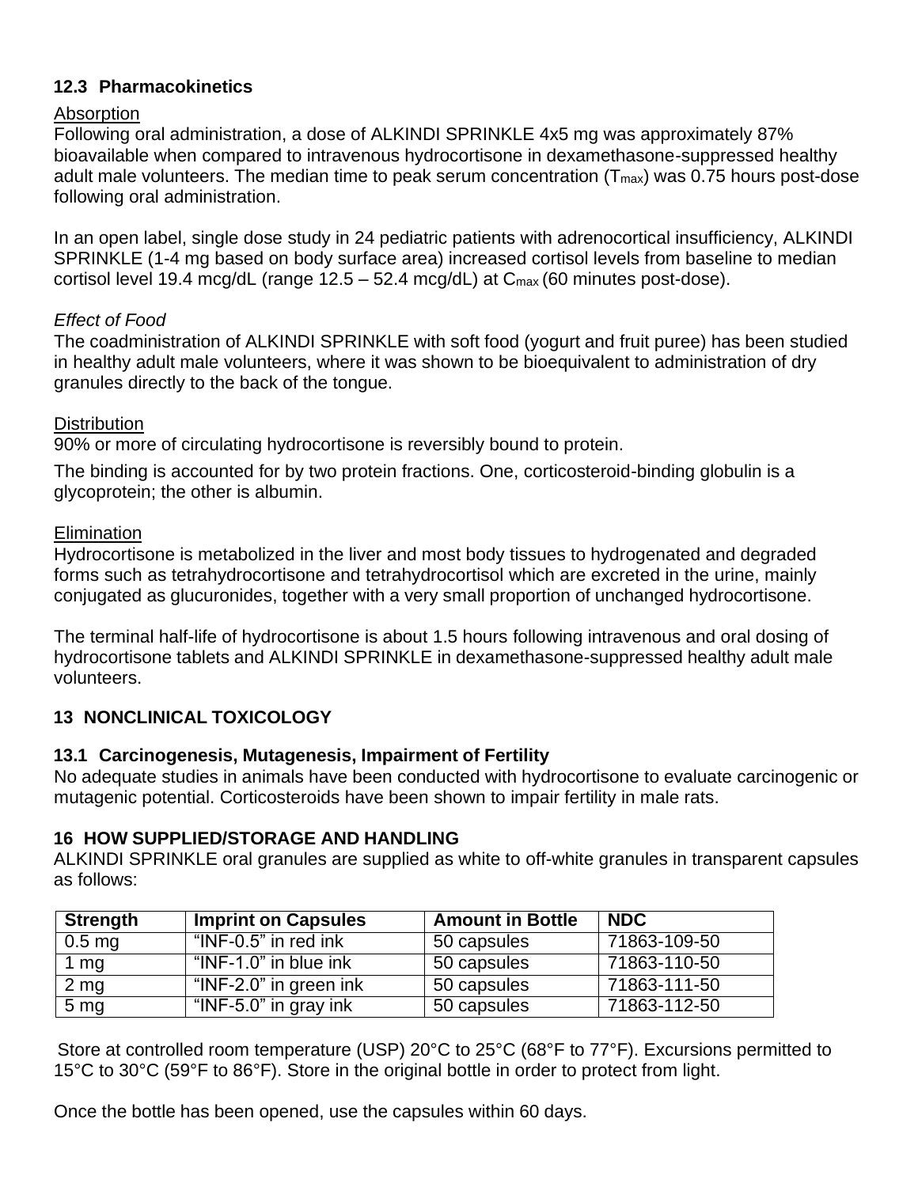### **12.3 Pharmacokinetics**

#### **Absorption**

Following oral administration, a dose of ALKINDI SPRINKLE 4x5 mg was approximately 87% bioavailable when compared to intravenous hydrocortisone in dexamethasone-suppressed healthy adult male volunteers. The median time to peak serum concentration  $(T_{max})$  was 0.75 hours post-dose following oral administration.

In an open label, single dose study in 24 pediatric patients with adrenocortical insufficiency, ALKINDI SPRINKLE (1-4 mg based on body surface area) increased cortisol levels from baseline to median cortisol level 19.4 mcg/dL (range  $12.5 - 52.4$  mcg/dL) at  $C_{\text{max}}$  (60 minutes post-dose).

### *Effect of Food*

The coadministration of ALKINDI SPRINKLE with soft food (yogurt and fruit puree) has been studied in healthy adult male volunteers, where it was shown to be bioequivalent to administration of dry granules directly to the back of the tongue.

#### **Distribution**

90% or more of circulating hydrocortisone is reversibly bound to protein.

The binding is accounted for by two protein fractions. One, corticosteroid-binding globulin is a glycoprotein; the other is albumin.

#### **Elimination**

Hydrocortisone is metabolized in the liver and most body tissues to hydrogenated and degraded forms such as tetrahydrocortisone and tetrahydrocortisol which are excreted in the urine, mainly conjugated as glucuronides, together with a very small proportion of unchanged hydrocortisone.

The terminal half-life of hydrocortisone is about 1.5 hours following intravenous and oral dosing of hydrocortisone tablets and ALKINDI SPRINKLE in dexamethasone-suppressed healthy adult male volunteers.

### **13 NONCLINICAL TOXICOLOGY**

#### **13.1 Carcinogenesis, Mutagenesis, Impairment of Fertility**

No adequate studies in animals have been conducted with hydrocortisone to evaluate carcinogenic or mutagenic potential. Corticosteroids have been shown to impair fertility in male rats.

### **16 HOW SUPPLIED/STORAGE AND HANDLING**

ALKINDI SPRINKLE oral granules are supplied as white to off-white granules in transparent capsules as follows:

| <b>Strength</b> | <b>Imprint on Capsules</b> | <b>Amount in Bottle</b> | <b>NDC</b>   |
|-----------------|----------------------------|-------------------------|--------------|
| $0.5$ mg        | "INF-0.5" in red ink       | 50 capsules             | 71863-109-50 |
| 1 mg            | "INF-1.0" in blue ink      | 50 capsules             | 71863-110-50 |
| 2 <sub>mg</sub> | "INF-2.0" in green ink     | 50 capsules             | 71863-111-50 |
| 5 <sub>mg</sub> | "INF-5.0" in gray ink      | 50 capsules             | 71863-112-50 |

Store at controlled room temperature (USP) 20°C to 25°C (68°F to 77°F). Excursions permitted to 15°C to 30°C (59°F to 86°F). Store in the original bottle in order to protect from light.

Once the bottle has been opened, use the capsules within 60 days.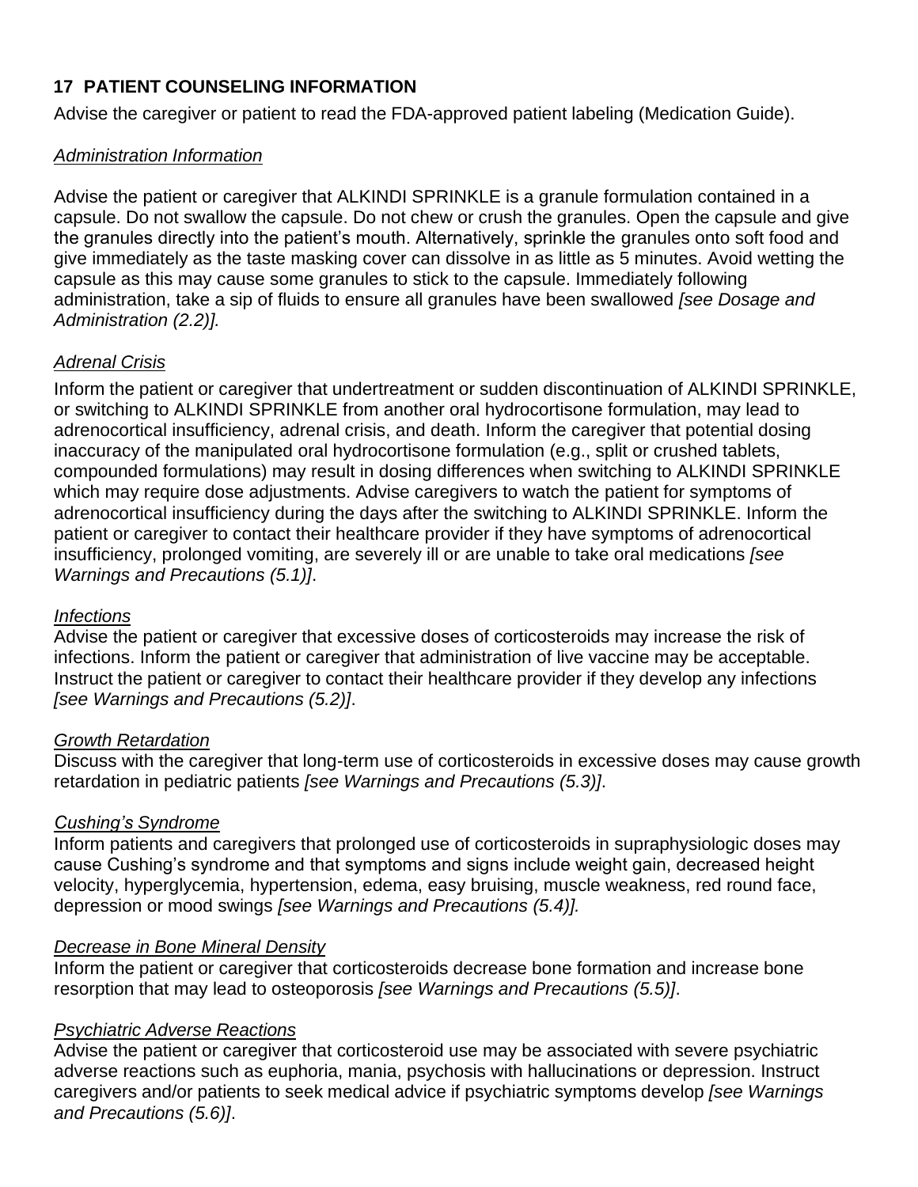# **17 PATIENT COUNSELING INFORMATION**

Advise the caregiver or patient to read the FDA-approved patient labeling (Medication Guide).

#### *Administration Information*

Advise the patient or caregiver that ALKINDI SPRINKLE is a granule formulation contained in a capsule. Do not swallow the capsule. Do not chew or crush the granules. Open the capsule and give the granules directly into the patient's mouth. Alternatively, sprinkle the granules onto soft food and give immediately as the taste masking cover can dissolve in as little as 5 minutes. Avoid wetting the capsule as this may cause some granules to stick to the capsule. Immediately following administration, take a sip of fluids to ensure all granules have been swallowed *[see Dosage and Administration (2.2)].*

### *Adrenal Crisis*

Inform the patient or caregiver that undertreatment or sudden discontinuation of ALKINDI SPRINKLE, or switching to ALKINDI SPRINKLE from another oral hydrocortisone formulation, may lead to adrenocortical insufficiency, adrenal crisis, and death. Inform the caregiver that potential dosing inaccuracy of the manipulated oral hydrocortisone formulation (e.g., split or crushed tablets, compounded formulations) may result in dosing differences when switching to ALKINDI SPRINKLE which may require dose adjustments. Advise caregivers to watch the patient for symptoms of adrenocortical insufficiency during the days after the switching to ALKINDI SPRINKLE. Inform the patient or caregiver to contact their healthcare provider if they have symptoms of adrenocortical insufficiency, prolonged vomiting, are severely ill or are unable to take oral medications *[see Warnings and Precautions (5.1)]*.

#### *Infections*

Advise the patient or caregiver that excessive doses of corticosteroids may increase the risk of infections. Inform the patient or caregiver that administration of live vaccine may be acceptable. Instruct the patient or caregiver to contact their healthcare provider if they develop any infections *[see Warnings and Precautions (5.2)]*.

#### *Growth Retardation*

Discuss with the caregiver that long-term use of corticosteroids in excessive doses may cause growth retardation in pediatric patients *[see Warnings and Precautions (5.3)]*.

### *Cushing's Syndrome*

Inform patients and caregivers that prolonged use of corticosteroids in supraphysiologic doses may cause Cushing's syndrome and that symptoms and signs include weight gain, decreased height velocity, hyperglycemia, hypertension, edema, easy bruising, muscle weakness, red round face, depression or mood swings *[see Warnings and Precautions (5.4)].*

#### *Decrease in Bone Mineral Density*

Inform the patient or caregiver that corticosteroids decrease bone formation and increase bone resorption that may lead to osteoporosis *[see Warnings and Precautions (5.5)]*.

### *Psychiatric Adverse Reactions*

Advise the patient or caregiver that corticosteroid use may be associated with severe psychiatric adverse reactions such as euphoria, mania, psychosis with hallucinations or depression. Instruct caregivers and/or patients to seek medical advice if psychiatric symptoms develop *[see Warnings and Precautions (5.6)]*.